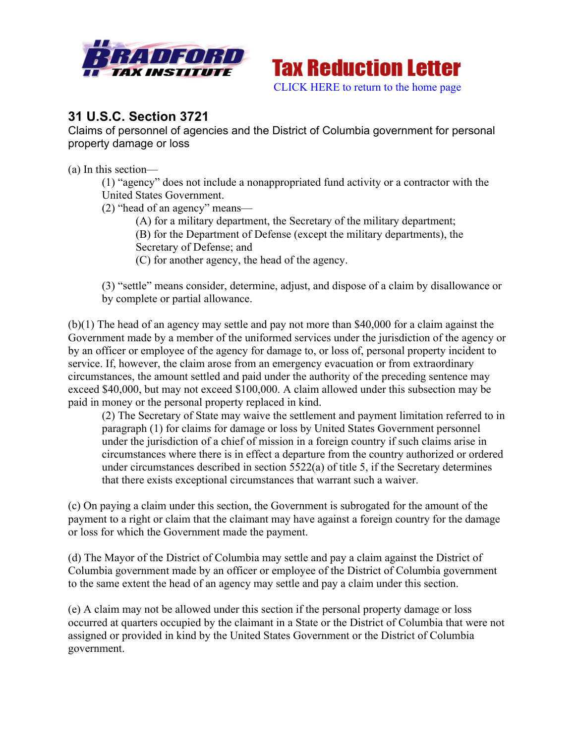



### **31 U.S.C. Section 3721**

Claims of personnel of agencies and the District of Columbia government for personal property damage or loss

(a) In this section—

(1) "agency" does not include a nonappropriated fund activity or a contractor with the United States Government.

(2) "head of an agency" means—

(A) for a military department, the Secretary of the military department;

(B) for the Department of Defense (except the military departments), the

Secretary of Defense; and

(C) for another agency, the head of the agency.

(3) "settle" means consider, determine, adjust, and dispose of a claim by disallowance or by complete or partial allowance.

(b)(1) The head of an agency may settle and pay not more than \$40,000 for a claim against the Government made by a member of the uniformed services under the jurisdiction of the agency or by an officer or employee of the agency for damage to, or loss of, personal property incident to service. If, however, the claim arose from an emergency evacuation or from extraordinary circumstances, the amount settled and paid under the authority of the preceding sentence may exceed \$40,000, but may not exceed \$100,000. A claim allowed under this subsection may be paid in money or the personal property replaced in kind.

(2) The Secretary of State may waive the settlement and payment limitation referred to in paragraph (1) for claims for damage or loss by United States Government personnel under the jurisdiction of a chief of mission in a foreign country if such claims arise in circumstances where there is in effect a departure from the country authorized or ordered under circumstances described in section 5522(a) of title 5, if the Secretary determines that there exists exceptional circumstances that warrant such a waiver.

(c) On paying a claim under this section, the Government is subrogated for the amount of the payment to a right or claim that the claimant may have against a foreign country for the damage or loss for which the Government made the payment.

(d) The Mayor of the District of Columbia may settle and pay a claim against the District of Columbia government made by an officer or employee of the District of Columbia government to the same extent the head of an agency may settle and pay a claim under this section.

(e) A claim may not be allowed under this section if the personal property damage or loss occurred at quarters occupied by the claimant in a State or the District of Columbia that were not assigned or provided in kind by the United States Government or the District of Columbia government.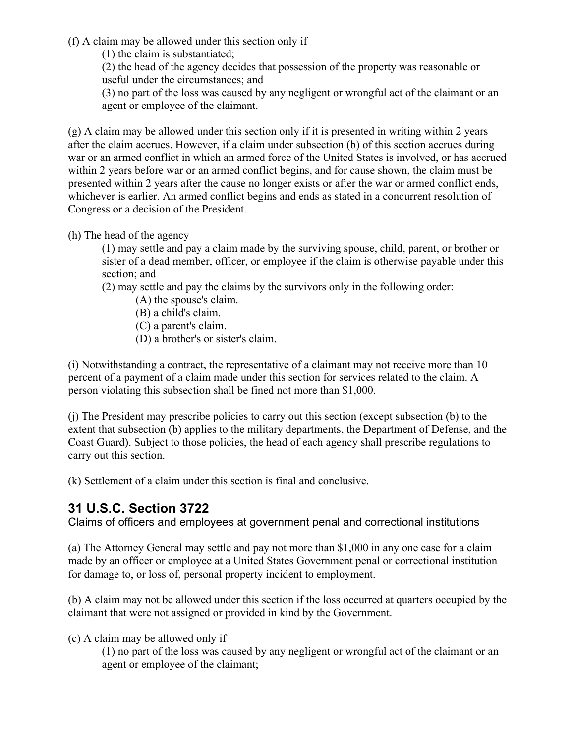(f) A claim may be allowed under this section only if—

(1) the claim is substantiated;

(2) the head of the agency decides that possession of the property was reasonable or useful under the circumstances; and

(3) no part of the loss was caused by any negligent or wrongful act of the claimant or an agent or employee of the claimant.

 $(g)$  A claim may be allowed under this section only if it is presented in writing within 2 years after the claim accrues. However, if a claim under subsection (b) of this section accrues during war or an armed conflict in which an armed force of the United States is involved, or has accrued within 2 years before war or an armed conflict begins, and for cause shown, the claim must be presented within 2 years after the cause no longer exists or after the war or armed conflict ends, whichever is earlier. An armed conflict begins and ends as stated in a concurrent resolution of Congress or a decision of the President.

(h) The head of the agency—

(1) may settle and pay a claim made by the surviving spouse, child, parent, or brother or sister of a dead member, officer, or employee if the claim is otherwise payable under this section; and

(2) may settle and pay the claims by the survivors only in the following order:

- (A) the spouse's claim.
- (B) a child's claim.
- (C) a parent's claim.
- (D) a brother's or sister's claim.

(i) Notwithstanding a contract, the representative of a claimant may not receive more than 10 percent of a payment of a claim made under this section for services related to the claim. A person violating this subsection shall be fined not more than \$1,000.

(j) The President may prescribe policies to carry out this section (except subsection (b) to the extent that subsection (b) applies to the military departments, the Department of Defense, and the Coast Guard). Subject to those policies, the head of each agency shall prescribe regulations to carry out this section.

(k) Settlement of a claim under this section is final and conclusive.

### **31 U.S.C. Section 3722**

Claims of officers and employees at government penal and correctional institutions

(a) The Attorney General may settle and pay not more than \$1,000 in any one case for a claim made by an officer or employee at a United States Government penal or correctional institution for damage to, or loss of, personal property incident to employment.

(b) A claim may not be allowed under this section if the loss occurred at quarters occupied by the claimant that were not assigned or provided in kind by the Government.

(c) A claim may be allowed only if—

(1) no part of the loss was caused by any negligent or wrongful act of the claimant or an agent or employee of the claimant;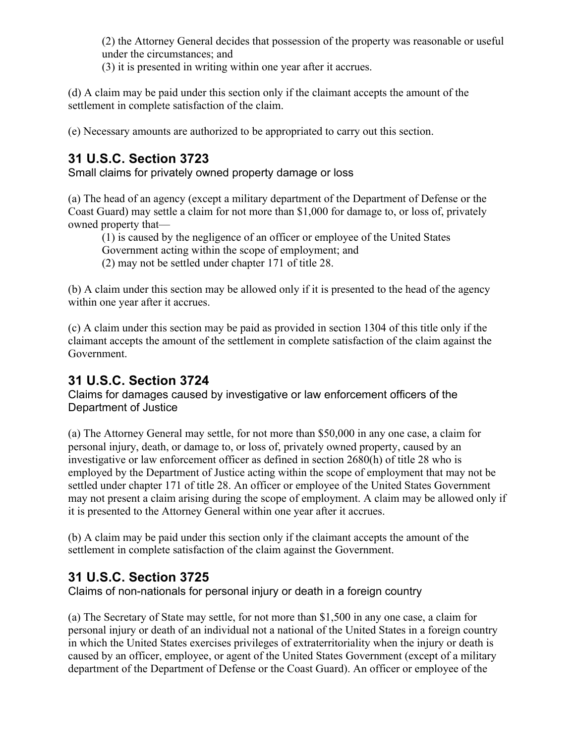(2) the Attorney General decides that possession of the property was reasonable or useful under the circumstances; and

(3) it is presented in writing within one year after it accrues.

(d) A claim may be paid under this section only if the claimant accepts the amount of the settlement in complete satisfaction of the claim.

(e) Necessary amounts are authorized to be appropriated to carry out this section.

# **31 U.S.C. Section 3723**

Small claims for privately owned property damage or loss

(a) The head of an agency (except a military department of the Department of Defense or the Coast Guard) may settle a claim for not more than \$1,000 for damage to, or loss of, privately owned property that—

(1) is caused by the negligence of an officer or employee of the United States Government acting within the scope of employment; and (2) may not be settled under chapter 171 of title 28.

(b) A claim under this section may be allowed only if it is presented to the head of the agency within one year after it accrues.

(c) A claim under this section may be paid as provided in section 1304 of this title only if the claimant accepts the amount of the settlement in complete satisfaction of the claim against the Government.

## **31 U.S.C. Section 3724**

Claims for damages caused by investigative or law enforcement officers of the Department of Justice

(a) The Attorney General may settle, for not more than \$50,000 in any one case, a claim for personal injury, death, or damage to, or loss of, privately owned property, caused by an investigative or law enforcement officer as defined in section 2680(h) of title 28 who is employed by the Department of Justice acting within the scope of employment that may not be settled under chapter 171 of title 28. An officer or employee of the United States Government may not present a claim arising during the scope of employment. A claim may be allowed only if it is presented to the Attorney General within one year after it accrues.

(b) A claim may be paid under this section only if the claimant accepts the amount of the settlement in complete satisfaction of the claim against the Government.

# **31 U.S.C. Section 3725**

Claims of non-nationals for personal injury or death in a foreign country

(a) The Secretary of State may settle, for not more than \$1,500 in any one case, a claim for personal injury or death of an individual not a national of the United States in a foreign country in which the United States exercises privileges of extraterritoriality when the injury or death is caused by an officer, employee, or agent of the United States Government (except of a military department of the Department of Defense or the Coast Guard). An officer or employee of the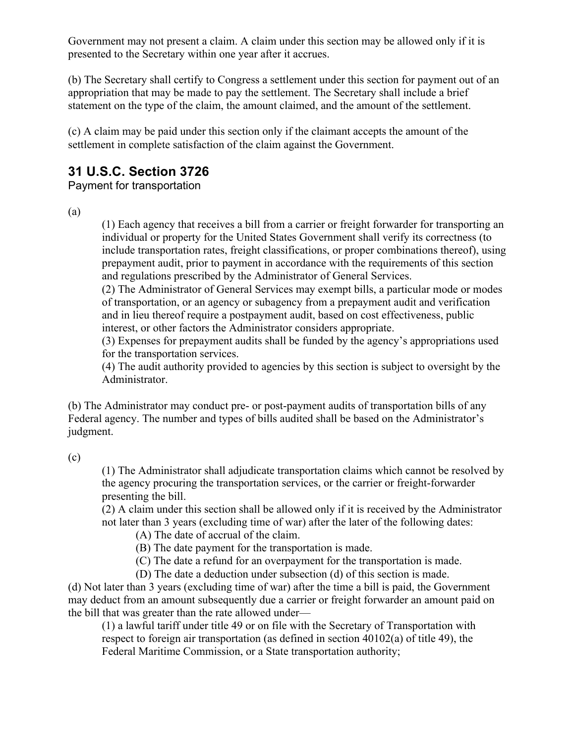Government may not present a claim. A claim under this section may be allowed only if it is presented to the Secretary within one year after it accrues.

(b) The Secretary shall certify to Congress a settlement under this section for payment out of an appropriation that may be made to pay the settlement. The Secretary shall include a brief statement on the type of the claim, the amount claimed, and the amount of the settlement.

(c) A claim may be paid under this section only if the claimant accepts the amount of the settlement in complete satisfaction of the claim against the Government.

# **31 U.S.C. Section 3726**

Payment for transportation

(a)

(1) Each agency that receives a bill from a carrier or freight forwarder for transporting an individual or property for the United States Government shall verify its correctness (to include transportation rates, freight classifications, or proper combinations thereof), using prepayment audit, prior to payment in accordance with the requirements of this section and regulations prescribed by the Administrator of General Services.

(2) The Administrator of General Services may exempt bills, a particular mode or modes of transportation, or an agency or subagency from a prepayment audit and verification and in lieu thereof require a postpayment audit, based on cost effectiveness, public interest, or other factors the Administrator considers appropriate.

(3) Expenses for prepayment audits shall be funded by the agency's appropriations used for the transportation services.

(4) The audit authority provided to agencies by this section is subject to oversight by the Administrator.

(b) The Administrator may conduct pre- or post-payment audits of transportation bills of any Federal agency. The number and types of bills audited shall be based on the Administrator's judgment.

(c)

(1) The Administrator shall adjudicate transportation claims which cannot be resolved by the agency procuring the transportation services, or the carrier or freight-forwarder presenting the bill.

(2) A claim under this section shall be allowed only if it is received by the Administrator not later than 3 years (excluding time of war) after the later of the following dates:

(A) The date of accrual of the claim.

(B) The date payment for the transportation is made.

(C) The date a refund for an overpayment for the transportation is made.

(D) The date a deduction under subsection (d) of this section is made.

(d) Not later than 3 years (excluding time of war) after the time a bill is paid, the Government may deduct from an amount subsequently due a carrier or freight forwarder an amount paid on the bill that was greater than the rate allowed under—

(1) a lawful tariff under title 49 or on file with the Secretary of Transportation with respect to foreign air transportation (as defined in section 40102(a) of title 49), the Federal Maritime Commission, or a State transportation authority;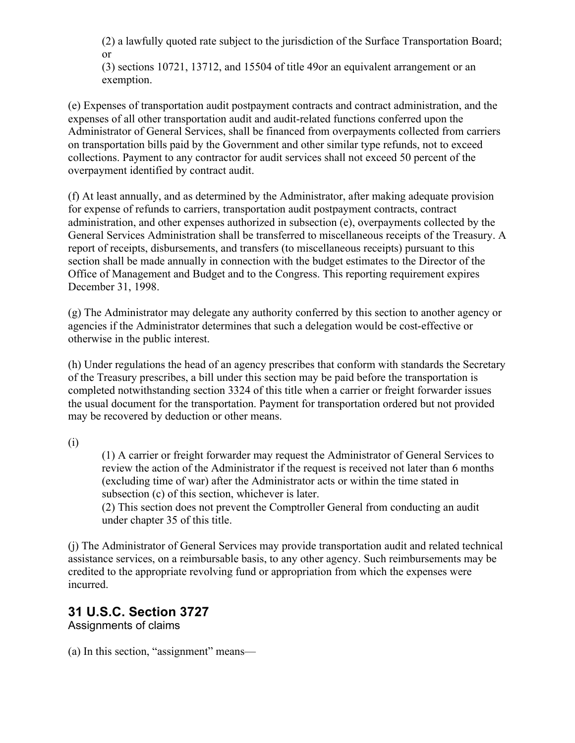(2) a lawfully quoted rate subject to the jurisdiction of the Surface Transportation Board; or

(3) sections 10721, 13712, and 15504 of title 49or an equivalent arrangement or an exemption.

(e) Expenses of transportation audit postpayment contracts and contract administration, and the expenses of all other transportation audit and audit-related functions conferred upon the Administrator of General Services, shall be financed from overpayments collected from carriers on transportation bills paid by the Government and other similar type refunds, not to exceed collections. Payment to any contractor for audit services shall not exceed 50 percent of the overpayment identified by contract audit.

(f) At least annually, and as determined by the Administrator, after making adequate provision for expense of refunds to carriers, transportation audit postpayment contracts, contract administration, and other expenses authorized in subsection (e), overpayments collected by the General Services Administration shall be transferred to miscellaneous receipts of the Treasury. A report of receipts, disbursements, and transfers (to miscellaneous receipts) pursuant to this section shall be made annually in connection with the budget estimates to the Director of the Office of Management and Budget and to the Congress. This reporting requirement expires December 31, 1998.

(g) The Administrator may delegate any authority conferred by this section to another agency or agencies if the Administrator determines that such a delegation would be cost-effective or otherwise in the public interest.

(h) Under regulations the head of an agency prescribes that conform with standards the Secretary of the Treasury prescribes, a bill under this section may be paid before the transportation is completed notwithstanding section 3324 of this title when a carrier or freight forwarder issues the usual document for the transportation. Payment for transportation ordered but not provided may be recovered by deduction or other means.

(i)

(1) A carrier or freight forwarder may request the Administrator of General Services to review the action of the Administrator if the request is received not later than 6 months (excluding time of war) after the Administrator acts or within the time stated in subsection (c) of this section, whichever is later.

(2) This section does not prevent the Comptroller General from conducting an audit under chapter 35 of this title.

(j) The Administrator of General Services may provide transportation audit and related technical assistance services, on a reimbursable basis, to any other agency. Such reimbursements may be credited to the appropriate revolving fund or appropriation from which the expenses were incurred.

## **31 U.S.C. Section 3727**

Assignments of claims

(a) In this section, "assignment" means—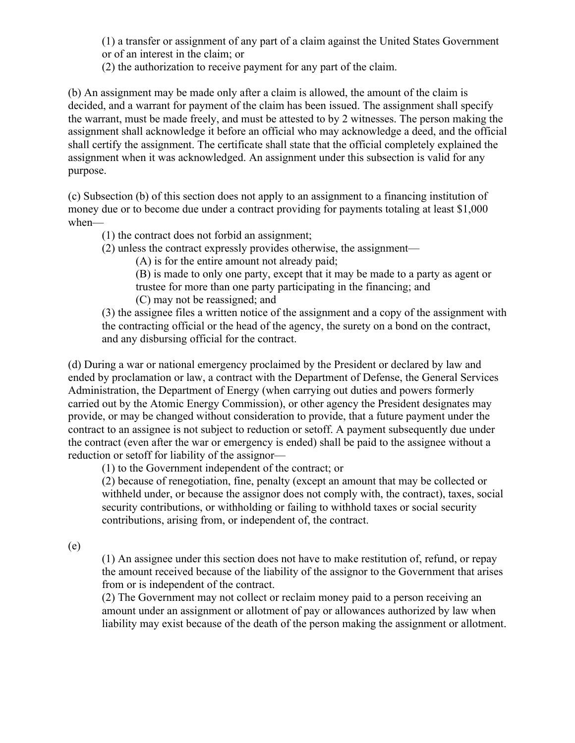(1) a transfer or assignment of any part of a claim against the United States Government or of an interest in the claim; or

(2) the authorization to receive payment for any part of the claim.

(b) An assignment may be made only after a claim is allowed, the amount of the claim is decided, and a warrant for payment of the claim has been issued. The assignment shall specify the warrant, must be made freely, and must be attested to by 2 witnesses. The person making the assignment shall acknowledge it before an official who may acknowledge a deed, and the official shall certify the assignment. The certificate shall state that the official completely explained the assignment when it was acknowledged. An assignment under this subsection is valid for any purpose.

(c) Subsection (b) of this section does not apply to an assignment to a financing institution of money due or to become due under a contract providing for payments totaling at least \$1,000 when—

(1) the contract does not forbid an assignment;

(2) unless the contract expressly provides otherwise, the assignment—

(A) is for the entire amount not already paid;

(B) is made to only one party, except that it may be made to a party as agent or trustee for more than one party participating in the financing; and

(C) may not be reassigned; and

(3) the assignee files a written notice of the assignment and a copy of the assignment with the contracting official or the head of the agency, the surety on a bond on the contract, and any disbursing official for the contract.

(d) During a war or national emergency proclaimed by the President or declared by law and ended by proclamation or law, a contract with the Department of Defense, the General Services Administration, the Department of Energy (when carrying out duties and powers formerly carried out by the Atomic Energy Commission), or other agency the President designates may provide, or may be changed without consideration to provide, that a future payment under the contract to an assignee is not subject to reduction or setoff. A payment subsequently due under the contract (even after the war or emergency is ended) shall be paid to the assignee without a reduction or setoff for liability of the assignor—

(1) to the Government independent of the contract; or

(2) because of renegotiation, fine, penalty (except an amount that may be collected or withheld under, or because the assignor does not comply with, the contract), taxes, social security contributions, or withholding or failing to withhold taxes or social security contributions, arising from, or independent of, the contract.

(e)

(1) An assignee under this section does not have to make restitution of, refund, or repay the amount received because of the liability of the assignor to the Government that arises from or is independent of the contract.

(2) The Government may not collect or reclaim money paid to a person receiving an amount under an assignment or allotment of pay or allowances authorized by law when liability may exist because of the death of the person making the assignment or allotment.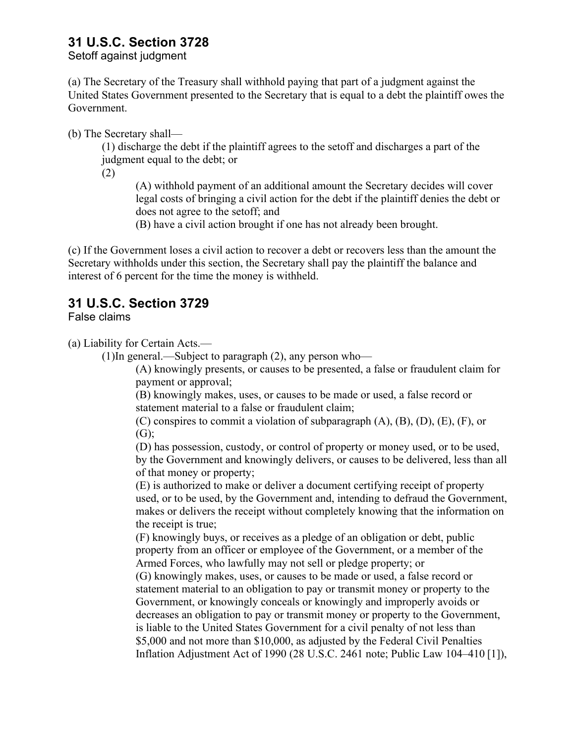## **31 U.S.C. Section 3728**

Setoff against judgment

(a) The Secretary of the Treasury shall withhold paying that part of a judgment against the United States Government presented to the Secretary that is equal to a debt the plaintiff owes the Government.

(b) The Secretary shall—

(1) discharge the debt if the plaintiff agrees to the setoff and discharges a part of the judgment equal to the debt; or

(2)

(A) withhold payment of an additional amount the Secretary decides will cover legal costs of bringing a civil action for the debt if the plaintiff denies the debt or does not agree to the setoff; and

(B) have a civil action brought if one has not already been brought.

(c) If the Government loses a civil action to recover a debt or recovers less than the amount the Secretary withholds under this section, the Secretary shall pay the plaintiff the balance and interest of 6 percent for the time the money is withheld.

## **31 U.S.C. Section 3729**

False claims

(a) Liability for Certain Acts.—

(1)In general.—Subject to paragraph (2), any person who—

(A) knowingly presents, or causes to be presented, a false or fraudulent claim for payment or approval;

(B) knowingly makes, uses, or causes to be made or used, a false record or statement material to a false or fraudulent claim;

(C) conspires to commit a violation of subparagraph (A), (B), (D), (E), (F), or  $(G);$ 

(D) has possession, custody, or control of property or money used, or to be used, by the Government and knowingly delivers, or causes to be delivered, less than all of that money or property;

(E) is authorized to make or deliver a document certifying receipt of property used, or to be used, by the Government and, intending to defraud the Government, makes or delivers the receipt without completely knowing that the information on the receipt is true;

(F) knowingly buys, or receives as a pledge of an obligation or debt, public property from an officer or employee of the Government, or a member of the Armed Forces, who lawfully may not sell or pledge property; or

(G) knowingly makes, uses, or causes to be made or used, a false record or statement material to an obligation to pay or transmit money or property to the Government, or knowingly conceals or knowingly and improperly avoids or decreases an obligation to pay or transmit money or property to the Government, is liable to the United States Government for a civil penalty of not less than \$5,000 and not more than \$10,000, as adjusted by the Federal Civil Penalties Inflation Adjustment Act of 1990 (28 U.S.C. 2461 note; Public Law 104–410 [1]),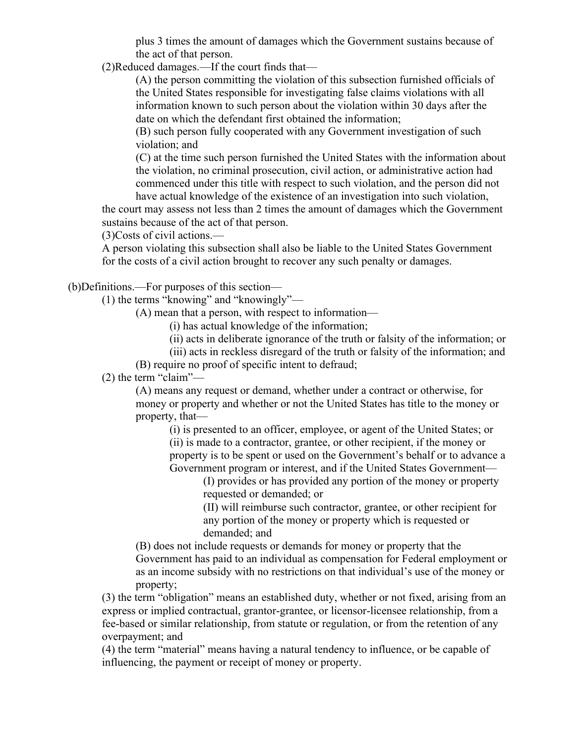plus 3 times the amount of damages which the Government sustains because of the act of that person.

(2)Reduced damages.—If the court finds that—

(A) the person committing the violation of this subsection furnished officials of the United States responsible for investigating false claims violations with all information known to such person about the violation within 30 days after the date on which the defendant first obtained the information;

(B) such person fully cooperated with any Government investigation of such violation; and

(C) at the time such person furnished the United States with the information about the violation, no criminal prosecution, civil action, or administrative action had commenced under this title with respect to such violation, and the person did not have actual knowledge of the existence of an investigation into such violation,

the court may assess not less than 2 times the amount of damages which the Government sustains because of the act of that person.

(3)Costs of civil actions.—

A person violating this subsection shall also be liable to the United States Government for the costs of a civil action brought to recover any such penalty or damages.

(b)Definitions.—For purposes of this section—

(1) the terms "knowing" and "knowingly"—

(A) mean that a person, with respect to information—

(i) has actual knowledge of the information;

(ii) acts in deliberate ignorance of the truth or falsity of the information; or

(iii) acts in reckless disregard of the truth or falsity of the information; and

(B) require no proof of specific intent to defraud;

(2) the term "claim"—

(A) means any request or demand, whether under a contract or otherwise, for money or property and whether or not the United States has title to the money or property, that—

(i) is presented to an officer, employee, or agent of the United States; or (ii) is made to a contractor, grantee, or other recipient, if the money or property is to be spent or used on the Government's behalf or to advance a Government program or interest, and if the United States Government—

(I) provides or has provided any portion of the money or property requested or demanded; or

(II) will reimburse such contractor, grantee, or other recipient for any portion of the money or property which is requested or demanded; and

(B) does not include requests or demands for money or property that the Government has paid to an individual as compensation for Federal employment or as an income subsidy with no restrictions on that individual's use of the money or property;

(3) the term "obligation" means an established duty, whether or not fixed, arising from an express or implied contractual, grantor-grantee, or licensor-licensee relationship, from a fee-based or similar relationship, from statute or regulation, or from the retention of any overpayment; and

(4) the term "material" means having a natural tendency to influence, or be capable of influencing, the payment or receipt of money or property.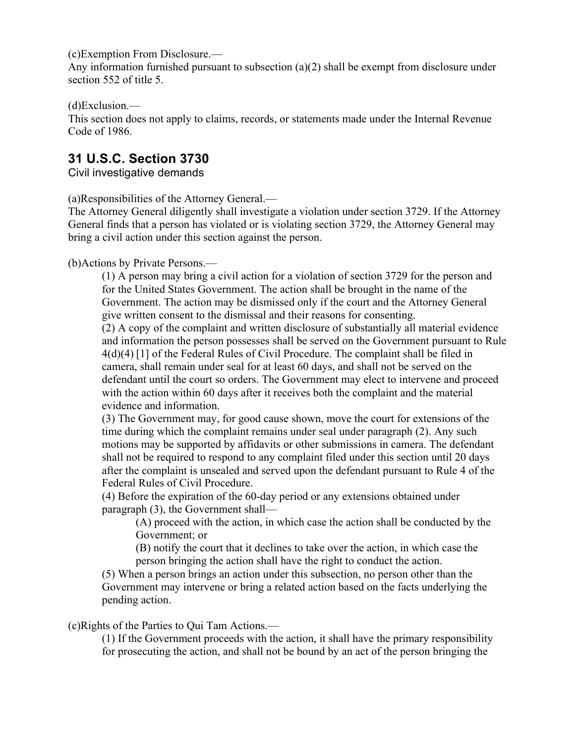(c)Exemption From Disclosure.—

Any information furnished pursuant to subsection (a)(2) shall be exempt from disclosure under section 552 of title 5.

(d)Exclusion.—

This section does not apply to claims, records, or statements made under the Internal Revenue Code of 1986.

## **31 U.S.C. Section 3730**

Civil investigative demands

(a)Responsibilities of the Attorney General.—

The Attorney General diligently shall investigate a violation under section 3729. If the Attorney General finds that a person has violated or is violating section 3729, the Attorney General may bring a civil action under this section against the person.

(b)Actions by Private Persons.—

(1) A person may bring a civil action for a violation of section 3729 for the person and for the United States Government. The action shall be brought in the name of the Government. The action may be dismissed only if the court and the Attorney General give written consent to the dismissal and their reasons for consenting.

(2) A copy of the complaint and written disclosure of substantially all material evidence and information the person possesses shall be served on the Government pursuant to Rule 4(d)(4) [1] of the Federal Rules of Civil Procedure. The complaint shall be filed in camera, shall remain under seal for at least 60 days, and shall not be served on the defendant until the court so orders. The Government may elect to intervene and proceed with the action within 60 days after it receives both the complaint and the material evidence and information.

(3) The Government may, for good cause shown, move the court for extensions of the time during which the complaint remains under seal under paragraph (2). Any such motions may be supported by affidavits or other submissions in camera. The defendant shall not be required to respond to any complaint filed under this section until 20 days after the complaint is unsealed and served upon the defendant pursuant to Rule 4 of the Federal Rules of Civil Procedure.

(4) Before the expiration of the 60-day period or any extensions obtained under paragraph (3), the Government shall—

(A) proceed with the action, in which case the action shall be conducted by the Government; or

(B) notify the court that it declines to take over the action, in which case the person bringing the action shall have the right to conduct the action.

(5) When a person brings an action under this subsection, no person other than the Government may intervene or bring a related action based on the facts underlying the pending action.

(c)Rights of the Parties to Qui Tam Actions.—

(1) If the Government proceeds with the action, it shall have the primary responsibility for prosecuting the action, and shall not be bound by an act of the person bringing the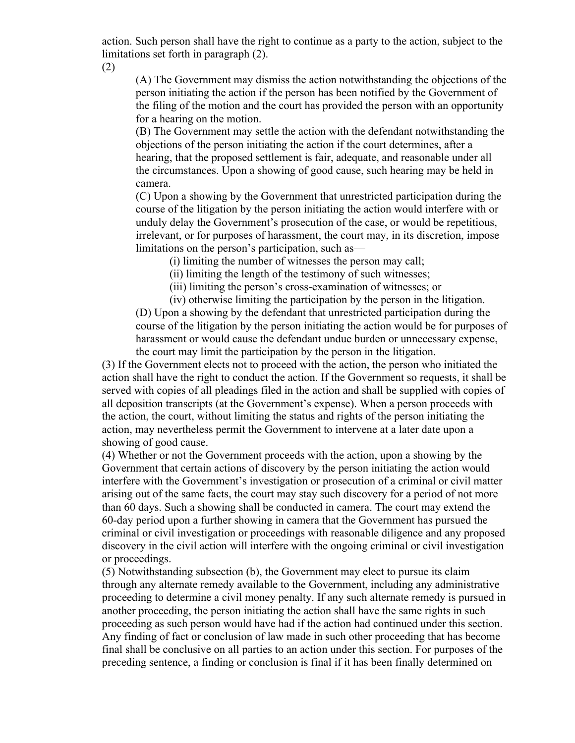action. Such person shall have the right to continue as a party to the action, subject to the limitations set forth in paragraph (2).

(2)

(A) The Government may dismiss the action notwithstanding the objections of the person initiating the action if the person has been notified by the Government of the filing of the motion and the court has provided the person with an opportunity for a hearing on the motion.

(B) The Government may settle the action with the defendant notwithstanding the objections of the person initiating the action if the court determines, after a hearing, that the proposed settlement is fair, adequate, and reasonable under all the circumstances. Upon a showing of good cause, such hearing may be held in camera.

(C) Upon a showing by the Government that unrestricted participation during the course of the litigation by the person initiating the action would interfere with or unduly delay the Government's prosecution of the case, or would be repetitious, irrelevant, or for purposes of harassment, the court may, in its discretion, impose limitations on the person's participation, such as—

(i) limiting the number of witnesses the person may call;

- (ii) limiting the length of the testimony of such witnesses;
- (iii) limiting the person's cross-examination of witnesses; or

(iv) otherwise limiting the participation by the person in the litigation.

(D) Upon a showing by the defendant that unrestricted participation during the course of the litigation by the person initiating the action would be for purposes of harassment or would cause the defendant undue burden or unnecessary expense, the court may limit the participation by the person in the litigation.

(3) If the Government elects not to proceed with the action, the person who initiated the action shall have the right to conduct the action. If the Government so requests, it shall be served with copies of all pleadings filed in the action and shall be supplied with copies of all deposition transcripts (at the Government's expense). When a person proceeds with the action, the court, without limiting the status and rights of the person initiating the action, may nevertheless permit the Government to intervene at a later date upon a showing of good cause.

(4) Whether or not the Government proceeds with the action, upon a showing by the Government that certain actions of discovery by the person initiating the action would interfere with the Government's investigation or prosecution of a criminal or civil matter arising out of the same facts, the court may stay such discovery for a period of not more than 60 days. Such a showing shall be conducted in camera. The court may extend the 60-day period upon a further showing in camera that the Government has pursued the criminal or civil investigation or proceedings with reasonable diligence and any proposed discovery in the civil action will interfere with the ongoing criminal or civil investigation or proceedings.

(5) Notwithstanding subsection (b), the Government may elect to pursue its claim through any alternate remedy available to the Government, including any administrative proceeding to determine a civil money penalty. If any such alternate remedy is pursued in another proceeding, the person initiating the action shall have the same rights in such proceeding as such person would have had if the action had continued under this section. Any finding of fact or conclusion of law made in such other proceeding that has become final shall be conclusive on all parties to an action under this section. For purposes of the preceding sentence, a finding or conclusion is final if it has been finally determined on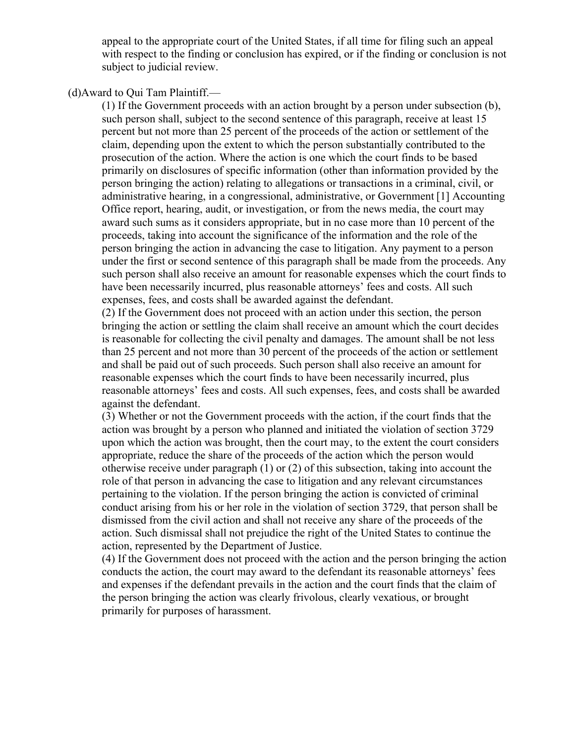appeal to the appropriate court of the United States, if all time for filing such an appeal with respect to the finding or conclusion has expired, or if the finding or conclusion is not subject to judicial review.

(d)Award to Qui Tam Plaintiff.—

(1) If the Government proceeds with an action brought by a person under subsection (b), such person shall, subject to the second sentence of this paragraph, receive at least 15 percent but not more than 25 percent of the proceeds of the action or settlement of the claim, depending upon the extent to which the person substantially contributed to the prosecution of the action. Where the action is one which the court finds to be based primarily on disclosures of specific information (other than information provided by the person bringing the action) relating to allegations or transactions in a criminal, civil, or administrative hearing, in a congressional, administrative, or Government [1] Accounting Office report, hearing, audit, or investigation, or from the news media, the court may award such sums as it considers appropriate, but in no case more than 10 percent of the proceeds, taking into account the significance of the information and the role of the person bringing the action in advancing the case to litigation. Any payment to a person under the first or second sentence of this paragraph shall be made from the proceeds. Any such person shall also receive an amount for reasonable expenses which the court finds to have been necessarily incurred, plus reasonable attorneys' fees and costs. All such expenses, fees, and costs shall be awarded against the defendant.

(2) If the Government does not proceed with an action under this section, the person bringing the action or settling the claim shall receive an amount which the court decides is reasonable for collecting the civil penalty and damages. The amount shall be not less than 25 percent and not more than 30 percent of the proceeds of the action or settlement and shall be paid out of such proceeds. Such person shall also receive an amount for reasonable expenses which the court finds to have been necessarily incurred, plus reasonable attorneys' fees and costs. All such expenses, fees, and costs shall be awarded against the defendant.

(3) Whether or not the Government proceeds with the action, if the court finds that the action was brought by a person who planned and initiated the violation of section 3729 upon which the action was brought, then the court may, to the extent the court considers appropriate, reduce the share of the proceeds of the action which the person would otherwise receive under paragraph (1) or (2) of this subsection, taking into account the role of that person in advancing the case to litigation and any relevant circumstances pertaining to the violation. If the person bringing the action is convicted of criminal conduct arising from his or her role in the violation of section 3729, that person shall be dismissed from the civil action and shall not receive any share of the proceeds of the action. Such dismissal shall not prejudice the right of the United States to continue the action, represented by the Department of Justice.

(4) If the Government does not proceed with the action and the person bringing the action conducts the action, the court may award to the defendant its reasonable attorneys' fees and expenses if the defendant prevails in the action and the court finds that the claim of the person bringing the action was clearly frivolous, clearly vexatious, or brought primarily for purposes of harassment.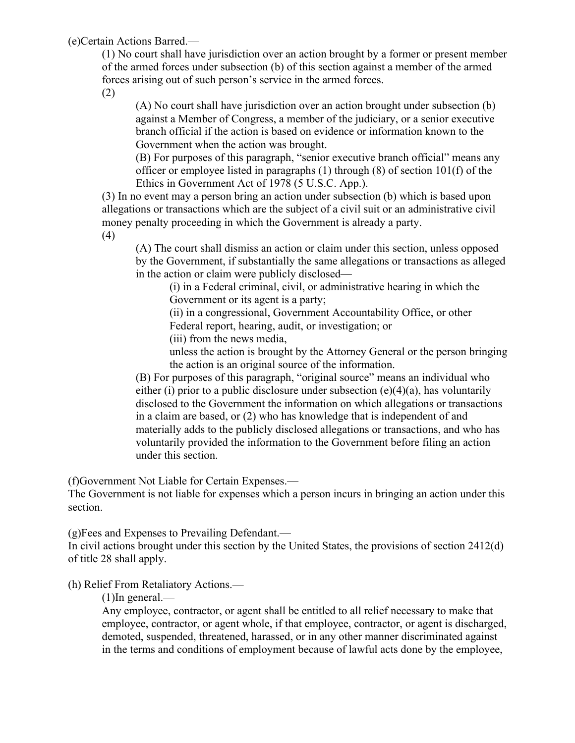(e)Certain Actions Barred.—

(1) No court shall have jurisdiction over an action brought by a former or present member of the armed forces under subsection (b) of this section against a member of the armed forces arising out of such person's service in the armed forces.

(2)

(A) No court shall have jurisdiction over an action brought under subsection (b) against a Member of Congress, a member of the judiciary, or a senior executive branch official if the action is based on evidence or information known to the Government when the action was brought.

(B) For purposes of this paragraph, "senior executive branch official" means any officer or employee listed in paragraphs (1) through (8) of section 101(f) of the Ethics in Government Act of 1978 (5 U.S.C. App.).

(3) In no event may a person bring an action under subsection (b) which is based upon allegations or transactions which are the subject of a civil suit or an administrative civil money penalty proceeding in which the Government is already a party. (4)

(A) The court shall dismiss an action or claim under this section, unless opposed by the Government, if substantially the same allegations or transactions as alleged in the action or claim were publicly disclosed—

(i) in a Federal criminal, civil, or administrative hearing in which the Government or its agent is a party;

(ii) in a congressional, Government Accountability Office, or other Federal report, hearing, audit, or investigation; or

(iii) from the news media,

unless the action is brought by the Attorney General or the person bringing the action is an original source of the information.

(B) For purposes of this paragraph, "original source" means an individual who either (i) prior to a public disclosure under subsection  $(e)(4)(a)$ , has voluntarily disclosed to the Government the information on which allegations or transactions in a claim are based, or (2) who has knowledge that is independent of and materially adds to the publicly disclosed allegations or transactions, and who has voluntarily provided the information to the Government before filing an action under this section.

(f)Government Not Liable for Certain Expenses.—

The Government is not liable for expenses which a person incurs in bringing an action under this section.

(g)Fees and Expenses to Prevailing Defendant.—

In civil actions brought under this section by the United States, the provisions of section 2412(d) of title 28 shall apply.

(h) Relief From Retaliatory Actions.—

(1)In general.—

Any employee, contractor, or agent shall be entitled to all relief necessary to make that employee, contractor, or agent whole, if that employee, contractor, or agent is discharged, demoted, suspended, threatened, harassed, or in any other manner discriminated against in the terms and conditions of employment because of lawful acts done by the employee,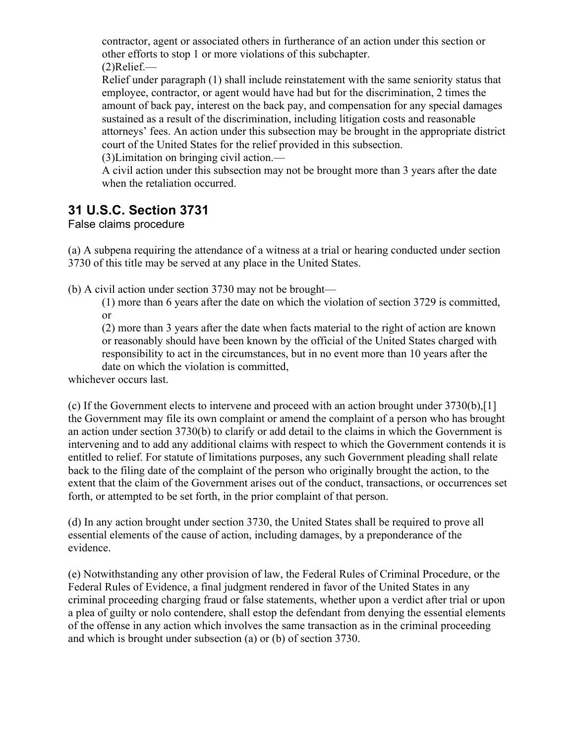contractor, agent or associated others in furtherance of an action under this section or other efforts to stop 1 or more violations of this subchapter. (2)Relief.—

Relief under paragraph (1) shall include reinstatement with the same seniority status that employee, contractor, or agent would have had but for the discrimination, 2 times the amount of back pay, interest on the back pay, and compensation for any special damages sustained as a result of the discrimination, including litigation costs and reasonable attorneys' fees. An action under this subsection may be brought in the appropriate district court of the United States for the relief provided in this subsection.

(3)Limitation on bringing civil action.—

A civil action under this subsection may not be brought more than 3 years after the date when the retaliation occurred.

## **31 U.S.C. Section 3731**

False claims procedure

(a) A subpena requiring the attendance of a witness at a trial or hearing conducted under section 3730 of this title may be served at any place in the United States.

(b) A civil action under section 3730 may not be brought—

(1) more than 6 years after the date on which the violation of section 3729 is committed, or

(2) more than 3 years after the date when facts material to the right of action are known or reasonably should have been known by the official of the United States charged with responsibility to act in the circumstances, but in no event more than 10 years after the date on which the violation is committed,

whichever occurs last.

(c) If the Government elects to intervene and proceed with an action brought under 3730(b),[1] the Government may file its own complaint or amend the complaint of a person who has brought an action under section 3730(b) to clarify or add detail to the claims in which the Government is intervening and to add any additional claims with respect to which the Government contends it is entitled to relief. For statute of limitations purposes, any such Government pleading shall relate back to the filing date of the complaint of the person who originally brought the action, to the extent that the claim of the Government arises out of the conduct, transactions, or occurrences set forth, or attempted to be set forth, in the prior complaint of that person.

(d) In any action brought under section 3730, the United States shall be required to prove all essential elements of the cause of action, including damages, by a preponderance of the evidence.

(e) Notwithstanding any other provision of law, the Federal Rules of Criminal Procedure, or the Federal Rules of Evidence, a final judgment rendered in favor of the United States in any criminal proceeding charging fraud or false statements, whether upon a verdict after trial or upon a plea of guilty or nolo contendere, shall estop the defendant from denying the essential elements of the offense in any action which involves the same transaction as in the criminal proceeding and which is brought under subsection (a) or (b) of section 3730.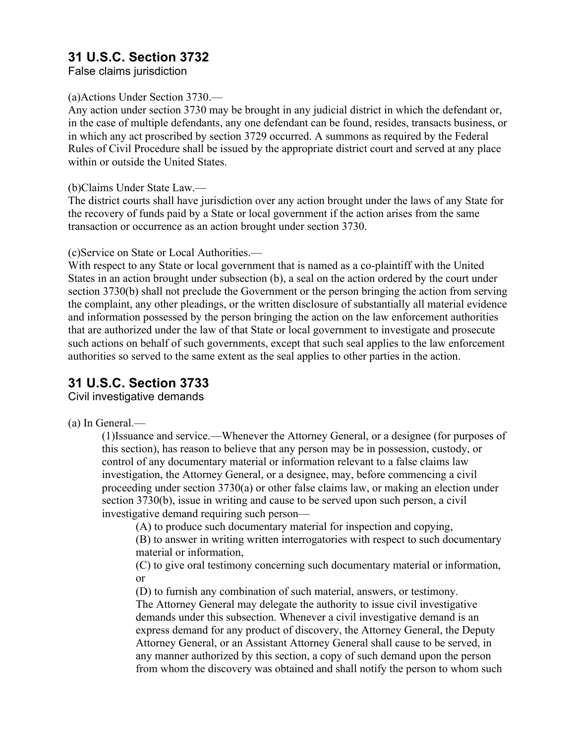### **31 U.S.C. Section 3732**

False claims jurisdiction

#### (a)Actions Under Section 3730.—

Any action under section 3730 may be brought in any judicial district in which the defendant or, in the case of multiple defendants, any one defendant can be found, resides, transacts business, or in which any act proscribed by section 3729 occurred. A summons as required by the Federal Rules of Civil Procedure shall be issued by the appropriate district court and served at any place within or outside the United States.

#### (b)Claims Under State Law.—

The district courts shall have jurisdiction over any action brought under the laws of any State for the recovery of funds paid by a State or local government if the action arises from the same transaction or occurrence as an action brought under section 3730.

(c)Service on State or Local Authorities.—

With respect to any State or local government that is named as a co-plaintiff with the United States in an action brought under subsection (b), a seal on the action ordered by the court under section 3730(b) shall not preclude the Government or the person bringing the action from serving the complaint, any other pleadings, or the written disclosure of substantially all material evidence and information possessed by the person bringing the action on the law enforcement authorities that are authorized under the law of that State or local government to investigate and prosecute such actions on behalf of such governments, except that such seal applies to the law enforcement authorities so served to the same extent as the seal applies to other parties in the action.

## **31 U.S.C. Section 3733**

Civil investigative demands

#### (a) In General.—

(1)Issuance and service.—Whenever the Attorney General, or a designee (for purposes of this section), has reason to believe that any person may be in possession, custody, or control of any documentary material or information relevant to a false claims law investigation, the Attorney General, or a designee, may, before commencing a civil proceeding under section 3730(a) or other false claims law, or making an election under section 3730(b), issue in writing and cause to be served upon such person, a civil investigative demand requiring such person—

(A) to produce such documentary material for inspection and copying,

(B) to answer in writing written interrogatories with respect to such documentary material or information,

(C) to give oral testimony concerning such documentary material or information, or

(D) to furnish any combination of such material, answers, or testimony. The Attorney General may delegate the authority to issue civil investigative demands under this subsection. Whenever a civil investigative demand is an express demand for any product of discovery, the Attorney General, the Deputy Attorney General, or an Assistant Attorney General shall cause to be served, in any manner authorized by this section, a copy of such demand upon the person from whom the discovery was obtained and shall notify the person to whom such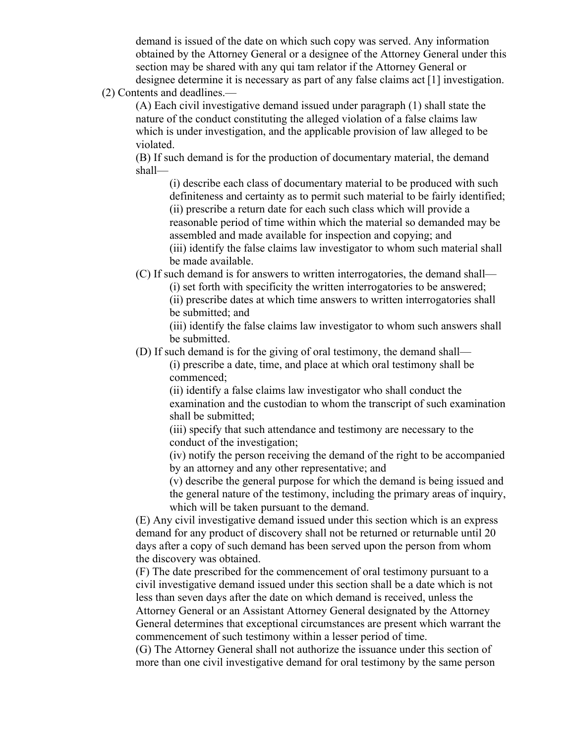demand is issued of the date on which such copy was served. Any information obtained by the Attorney General or a designee of the Attorney General under this section may be shared with any qui tam relator if the Attorney General or designee determine it is necessary as part of any false claims act [1] investigation.

(2) Contents and deadlines.—

(A) Each civil investigative demand issued under paragraph (1) shall state the nature of the conduct constituting the alleged violation of a false claims law which is under investigation, and the applicable provision of law alleged to be violated.

(B) If such demand is for the production of documentary material, the demand shall—

(i) describe each class of documentary material to be produced with such definiteness and certainty as to permit such material to be fairly identified; (ii) prescribe a return date for each such class which will provide a reasonable period of time within which the material so demanded may be assembled and made available for inspection and copying; and (iii) identify the false claims law investigator to whom such material shall be made available.

(C) If such demand is for answers to written interrogatories, the demand shall—

(i) set forth with specificity the written interrogatories to be answered; (ii) prescribe dates at which time answers to written interrogatories shall be submitted; and

(iii) identify the false claims law investigator to whom such answers shall be submitted.

(D) If such demand is for the giving of oral testimony, the demand shall—

(i) prescribe a date, time, and place at which oral testimony shall be commenced;

(ii) identify a false claims law investigator who shall conduct the examination and the custodian to whom the transcript of such examination shall be submitted;

(iii) specify that such attendance and testimony are necessary to the conduct of the investigation;

(iv) notify the person receiving the demand of the right to be accompanied by an attorney and any other representative; and

(v) describe the general purpose for which the demand is being issued and the general nature of the testimony, including the primary areas of inquiry, which will be taken pursuant to the demand.

(E) Any civil investigative demand issued under this section which is an express demand for any product of discovery shall not be returned or returnable until 20 days after a copy of such demand has been served upon the person from whom the discovery was obtained.

(F) The date prescribed for the commencement of oral testimony pursuant to a civil investigative demand issued under this section shall be a date which is not less than seven days after the date on which demand is received, unless the Attorney General or an Assistant Attorney General designated by the Attorney General determines that exceptional circumstances are present which warrant the commencement of such testimony within a lesser period of time.

(G) The Attorney General shall not authorize the issuance under this section of more than one civil investigative demand for oral testimony by the same person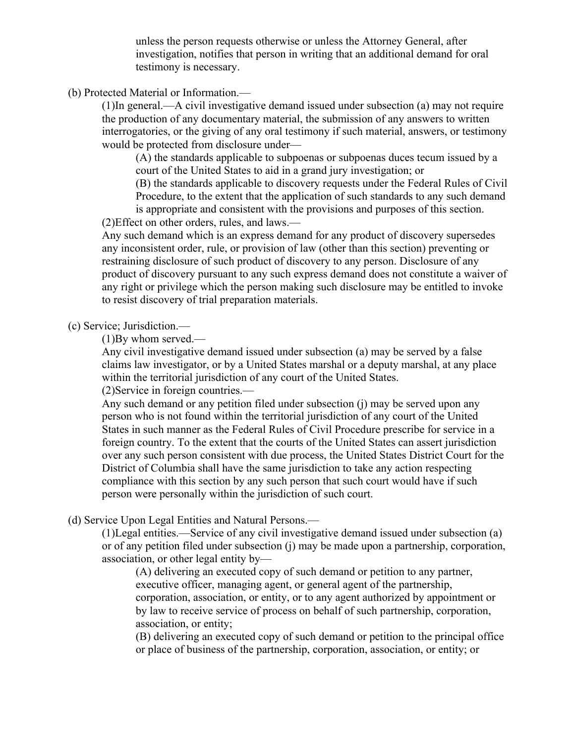unless the person requests otherwise or unless the Attorney General, after investigation, notifies that person in writing that an additional demand for oral testimony is necessary.

(b) Protected Material or Information.—

(1)In general.—A civil investigative demand issued under subsection (a) may not require the production of any documentary material, the submission of any answers to written interrogatories, or the giving of any oral testimony if such material, answers, or testimony would be protected from disclosure under—

(A) the standards applicable to subpoenas or subpoenas duces tecum issued by a court of the United States to aid in a grand jury investigation; or

(B) the standards applicable to discovery requests under the Federal Rules of Civil Procedure, to the extent that the application of such standards to any such demand is appropriate and consistent with the provisions and purposes of this section. (2)Effect on other orders, rules, and laws.—

Any such demand which is an express demand for any product of discovery supersedes any inconsistent order, rule, or provision of law (other than this section) preventing or restraining disclosure of such product of discovery to any person. Disclosure of any product of discovery pursuant to any such express demand does not constitute a waiver of any right or privilege which the person making such disclosure may be entitled to invoke to resist discovery of trial preparation materials.

(c) Service; Jurisdiction.—

(1)By whom served.—

Any civil investigative demand issued under subsection (a) may be served by a false claims law investigator, or by a United States marshal or a deputy marshal, at any place within the territorial jurisdiction of any court of the United States.

(2)Service in foreign countries.—

Any such demand or any petition filed under subsection (j) may be served upon any person who is not found within the territorial jurisdiction of any court of the United States in such manner as the Federal Rules of Civil Procedure prescribe for service in a foreign country. To the extent that the courts of the United States can assert jurisdiction over any such person consistent with due process, the United States District Court for the District of Columbia shall have the same jurisdiction to take any action respecting compliance with this section by any such person that such court would have if such person were personally within the jurisdiction of such court.

(d) Service Upon Legal Entities and Natural Persons.—

(1)Legal entities.—Service of any civil investigative demand issued under subsection (a) or of any petition filed under subsection (j) may be made upon a partnership, corporation, association, or other legal entity by—

(A) delivering an executed copy of such demand or petition to any partner, executive officer, managing agent, or general agent of the partnership, corporation, association, or entity, or to any agent authorized by appointment or by law to receive service of process on behalf of such partnership, corporation, association, or entity;

(B) delivering an executed copy of such demand or petition to the principal office or place of business of the partnership, corporation, association, or entity; or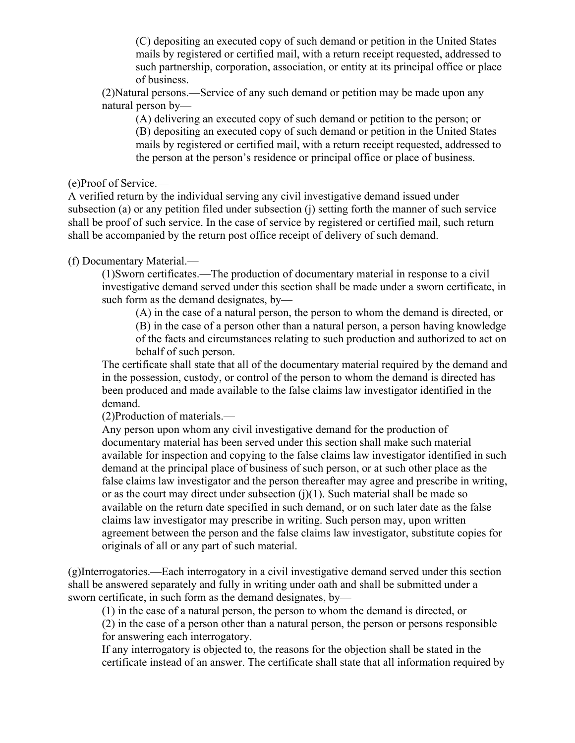(C) depositing an executed copy of such demand or petition in the United States mails by registered or certified mail, with a return receipt requested, addressed to such partnership, corporation, association, or entity at its principal office or place of business.

(2)Natural persons.—Service of any such demand or petition may be made upon any natural person by—

(A) delivering an executed copy of such demand or petition to the person; or (B) depositing an executed copy of such demand or petition in the United States mails by registered or certified mail, with a return receipt requested, addressed to the person at the person's residence or principal office or place of business.

(e)Proof of Service.—

A verified return by the individual serving any civil investigative demand issued under subsection (a) or any petition filed under subsection (j) setting forth the manner of such service shall be proof of such service. In the case of service by registered or certified mail, such return shall be accompanied by the return post office receipt of delivery of such demand.

#### (f) Documentary Material.—

(1)Sworn certificates.—The production of documentary material in response to a civil investigative demand served under this section shall be made under a sworn certificate, in such form as the demand designates, by—

(A) in the case of a natural person, the person to whom the demand is directed, or

(B) in the case of a person other than a natural person, a person having knowledge of the facts and circumstances relating to such production and authorized to act on behalf of such person.

The certificate shall state that all of the documentary material required by the demand and in the possession, custody, or control of the person to whom the demand is directed has been produced and made available to the false claims law investigator identified in the demand.

(2)Production of materials.—

Any person upon whom any civil investigative demand for the production of documentary material has been served under this section shall make such material available for inspection and copying to the false claims law investigator identified in such demand at the principal place of business of such person, or at such other place as the false claims law investigator and the person thereafter may agree and prescribe in writing, or as the court may direct under subsection  $(j)(1)$ . Such material shall be made so available on the return date specified in such demand, or on such later date as the false claims law investigator may prescribe in writing. Such person may, upon written agreement between the person and the false claims law investigator, substitute copies for originals of all or any part of such material.

(g)Interrogatories.—Each interrogatory in a civil investigative demand served under this section shall be answered separately and fully in writing under oath and shall be submitted under a sworn certificate, in such form as the demand designates, by—

(1) in the case of a natural person, the person to whom the demand is directed, or

(2) in the case of a person other than a natural person, the person or persons responsible for answering each interrogatory.

If any interrogatory is objected to, the reasons for the objection shall be stated in the certificate instead of an answer. The certificate shall state that all information required by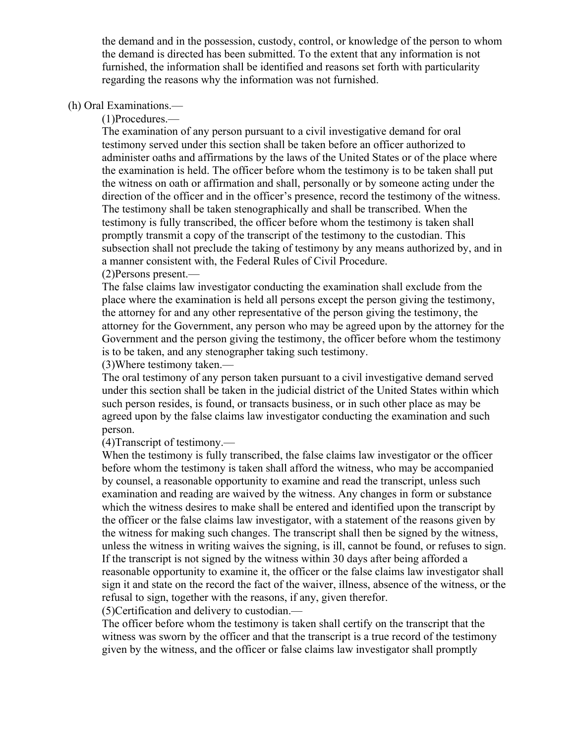the demand and in the possession, custody, control, or knowledge of the person to whom the demand is directed has been submitted. To the extent that any information is not furnished, the information shall be identified and reasons set forth with particularity regarding the reasons why the information was not furnished.

(h) Oral Examinations.—

(1)Procedures.—

The examination of any person pursuant to a civil investigative demand for oral testimony served under this section shall be taken before an officer authorized to administer oaths and affirmations by the laws of the United States or of the place where the examination is held. The officer before whom the testimony is to be taken shall put the witness on oath or affirmation and shall, personally or by someone acting under the direction of the officer and in the officer's presence, record the testimony of the witness. The testimony shall be taken stenographically and shall be transcribed. When the testimony is fully transcribed, the officer before whom the testimony is taken shall promptly transmit a copy of the transcript of the testimony to the custodian. This subsection shall not preclude the taking of testimony by any means authorized by, and in a manner consistent with, the Federal Rules of Civil Procedure.

(2)Persons present.—

The false claims law investigator conducting the examination shall exclude from the place where the examination is held all persons except the person giving the testimony, the attorney for and any other representative of the person giving the testimony, the attorney for the Government, any person who may be agreed upon by the attorney for the Government and the person giving the testimony, the officer before whom the testimony is to be taken, and any stenographer taking such testimony.

(3)Where testimony taken.—

The oral testimony of any person taken pursuant to a civil investigative demand served under this section shall be taken in the judicial district of the United States within which such person resides, is found, or transacts business, or in such other place as may be agreed upon by the false claims law investigator conducting the examination and such person.

(4)Transcript of testimony.—

When the testimony is fully transcribed, the false claims law investigator or the officer before whom the testimony is taken shall afford the witness, who may be accompanied by counsel, a reasonable opportunity to examine and read the transcript, unless such examination and reading are waived by the witness. Any changes in form or substance which the witness desires to make shall be entered and identified upon the transcript by the officer or the false claims law investigator, with a statement of the reasons given by the witness for making such changes. The transcript shall then be signed by the witness, unless the witness in writing waives the signing, is ill, cannot be found, or refuses to sign. If the transcript is not signed by the witness within 30 days after being afforded a reasonable opportunity to examine it, the officer or the false claims law investigator shall sign it and state on the record the fact of the waiver, illness, absence of the witness, or the refusal to sign, together with the reasons, if any, given therefor.

(5)Certification and delivery to custodian.—

The officer before whom the testimony is taken shall certify on the transcript that the witness was sworn by the officer and that the transcript is a true record of the testimony given by the witness, and the officer or false claims law investigator shall promptly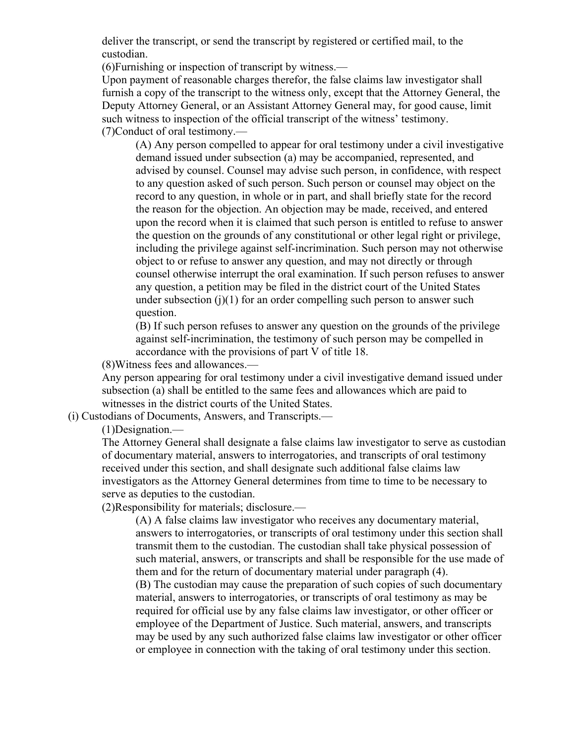deliver the transcript, or send the transcript by registered or certified mail, to the custodian.

(6)Furnishing or inspection of transcript by witness.—

Upon payment of reasonable charges therefor, the false claims law investigator shall furnish a copy of the transcript to the witness only, except that the Attorney General, the Deputy Attorney General, or an Assistant Attorney General may, for good cause, limit such witness to inspection of the official transcript of the witness' testimony. (7)Conduct of oral testimony.—

(A) Any person compelled to appear for oral testimony under a civil investigative demand issued under subsection (a) may be accompanied, represented, and advised by counsel. Counsel may advise such person, in confidence, with respect to any question asked of such person. Such person or counsel may object on the record to any question, in whole or in part, and shall briefly state for the record the reason for the objection. An objection may be made, received, and entered upon the record when it is claimed that such person is entitled to refuse to answer the question on the grounds of any constitutional or other legal right or privilege, including the privilege against self-incrimination. Such person may not otherwise object to or refuse to answer any question, and may not directly or through counsel otherwise interrupt the oral examination. If such person refuses to answer any question, a petition may be filed in the district court of the United States under subsection  $(i)(1)$  for an order compelling such person to answer such question.

(B) If such person refuses to answer any question on the grounds of the privilege against self-incrimination, the testimony of such person may be compelled in accordance with the provisions of part V of title 18.

(8)Witness fees and allowances.—

Any person appearing for oral testimony under a civil investigative demand issued under subsection (a) shall be entitled to the same fees and allowances which are paid to witnesses in the district courts of the United States.

(i) Custodians of Documents, Answers, and Transcripts.—

(1)Designation.—

The Attorney General shall designate a false claims law investigator to serve as custodian of documentary material, answers to interrogatories, and transcripts of oral testimony received under this section, and shall designate such additional false claims law investigators as the Attorney General determines from time to time to be necessary to serve as deputies to the custodian.

(2)Responsibility for materials; disclosure.—

(A) A false claims law investigator who receives any documentary material, answers to interrogatories, or transcripts of oral testimony under this section shall transmit them to the custodian. The custodian shall take physical possession of such material, answers, or transcripts and shall be responsible for the use made of them and for the return of documentary material under paragraph (4). (B) The custodian may cause the preparation of such copies of such documentary material, answers to interrogatories, or transcripts of oral testimony as may be required for official use by any false claims law investigator, or other officer or employee of the Department of Justice. Such material, answers, and transcripts may be used by any such authorized false claims law investigator or other officer or employee in connection with the taking of oral testimony under this section.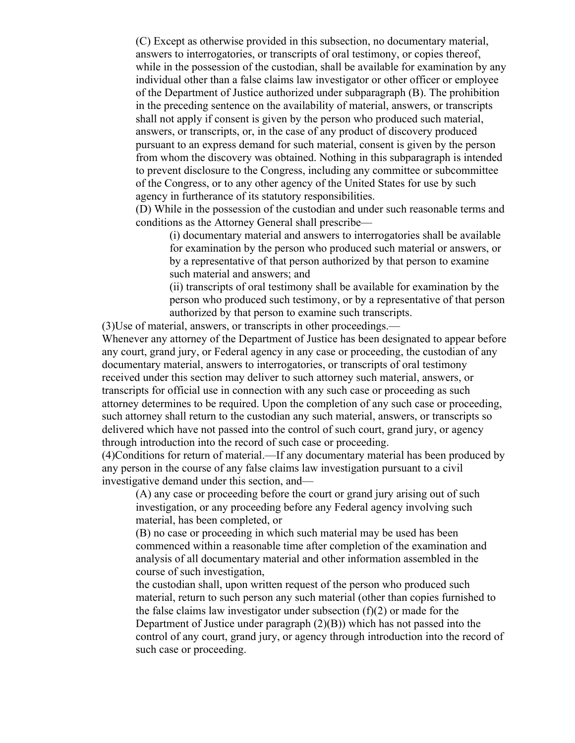(C) Except as otherwise provided in this subsection, no documentary material, answers to interrogatories, or transcripts of oral testimony, or copies thereof, while in the possession of the custodian, shall be available for examination by any individual other than a false claims law investigator or other officer or employee of the Department of Justice authorized under subparagraph (B). The prohibition in the preceding sentence on the availability of material, answers, or transcripts shall not apply if consent is given by the person who produced such material, answers, or transcripts, or, in the case of any product of discovery produced pursuant to an express demand for such material, consent is given by the person from whom the discovery was obtained. Nothing in this subparagraph is intended to prevent disclosure to the Congress, including any committee or subcommittee of the Congress, or to any other agency of the United States for use by such agency in furtherance of its statutory responsibilities.

(D) While in the possession of the custodian and under such reasonable terms and conditions as the Attorney General shall prescribe—

(i) documentary material and answers to interrogatories shall be available for examination by the person who produced such material or answers, or by a representative of that person authorized by that person to examine such material and answers; and

(ii) transcripts of oral testimony shall be available for examination by the person who produced such testimony, or by a representative of that person authorized by that person to examine such transcripts.

(3)Use of material, answers, or transcripts in other proceedings.—

Whenever any attorney of the Department of Justice has been designated to appear before any court, grand jury, or Federal agency in any case or proceeding, the custodian of any documentary material, answers to interrogatories, or transcripts of oral testimony received under this section may deliver to such attorney such material, answers, or transcripts for official use in connection with any such case or proceeding as such attorney determines to be required. Upon the completion of any such case or proceeding, such attorney shall return to the custodian any such material, answers, or transcripts so delivered which have not passed into the control of such court, grand jury, or agency through introduction into the record of such case or proceeding.

(4)Conditions for return of material.—If any documentary material has been produced by any person in the course of any false claims law investigation pursuant to a civil investigative demand under this section, and—

(A) any case or proceeding before the court or grand jury arising out of such investigation, or any proceeding before any Federal agency involving such material, has been completed, or

(B) no case or proceeding in which such material may be used has been commenced within a reasonable time after completion of the examination and analysis of all documentary material and other information assembled in the course of such investigation,

the custodian shall, upon written request of the person who produced such material, return to such person any such material (other than copies furnished to the false claims law investigator under subsection (f)(2) or made for the Department of Justice under paragraph  $(2)(B)$ ) which has not passed into the control of any court, grand jury, or agency through introduction into the record of such case or proceeding.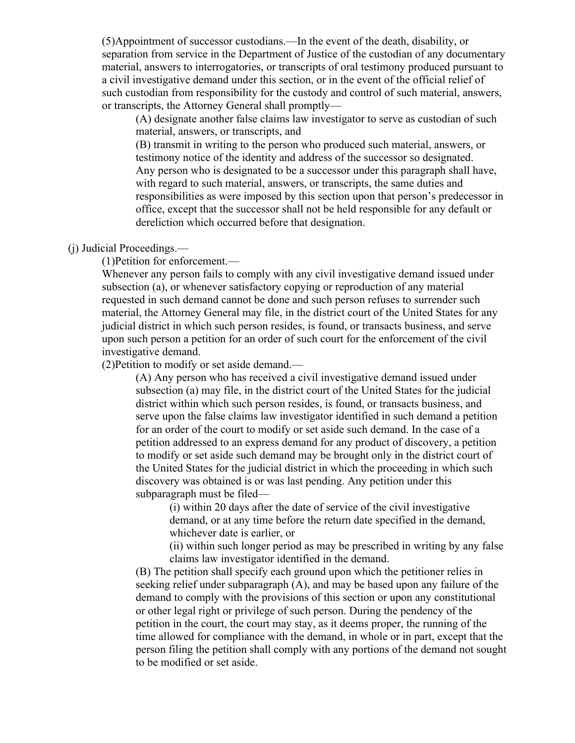(5)Appointment of successor custodians.—In the event of the death, disability, or separation from service in the Department of Justice of the custodian of any documentary material, answers to interrogatories, or transcripts of oral testimony produced pursuant to a civil investigative demand under this section, or in the event of the official relief of such custodian from responsibility for the custody and control of such material, answers, or transcripts, the Attorney General shall promptly—

(A) designate another false claims law investigator to serve as custodian of such material, answers, or transcripts, and

(B) transmit in writing to the person who produced such material, answers, or testimony notice of the identity and address of the successor so designated. Any person who is designated to be a successor under this paragraph shall have, with regard to such material, answers, or transcripts, the same duties and responsibilities as were imposed by this section upon that person's predecessor in office, except that the successor shall not be held responsible for any default or dereliction which occurred before that designation.

(j) Judicial Proceedings.—

(1)Petition for enforcement.—

Whenever any person fails to comply with any civil investigative demand issued under subsection (a), or whenever satisfactory copying or reproduction of any material requested in such demand cannot be done and such person refuses to surrender such material, the Attorney General may file, in the district court of the United States for any judicial district in which such person resides, is found, or transacts business, and serve upon such person a petition for an order of such court for the enforcement of the civil investigative demand.

(2)Petition to modify or set aside demand.—

(A) Any person who has received a civil investigative demand issued under subsection (a) may file, in the district court of the United States for the judicial district within which such person resides, is found, or transacts business, and serve upon the false claims law investigator identified in such demand a petition for an order of the court to modify or set aside such demand. In the case of a petition addressed to an express demand for any product of discovery, a petition to modify or set aside such demand may be brought only in the district court of the United States for the judicial district in which the proceeding in which such discovery was obtained is or was last pending. Any petition under this subparagraph must be filed—

(i) within 20 days after the date of service of the civil investigative demand, or at any time before the return date specified in the demand, whichever date is earlier, or

(ii) within such longer period as may be prescribed in writing by any false claims law investigator identified in the demand.

(B) The petition shall specify each ground upon which the petitioner relies in seeking relief under subparagraph (A), and may be based upon any failure of the demand to comply with the provisions of this section or upon any constitutional or other legal right or privilege of such person. During the pendency of the petition in the court, the court may stay, as it deems proper, the running of the time allowed for compliance with the demand, in whole or in part, except that the person filing the petition shall comply with any portions of the demand not sought to be modified or set aside.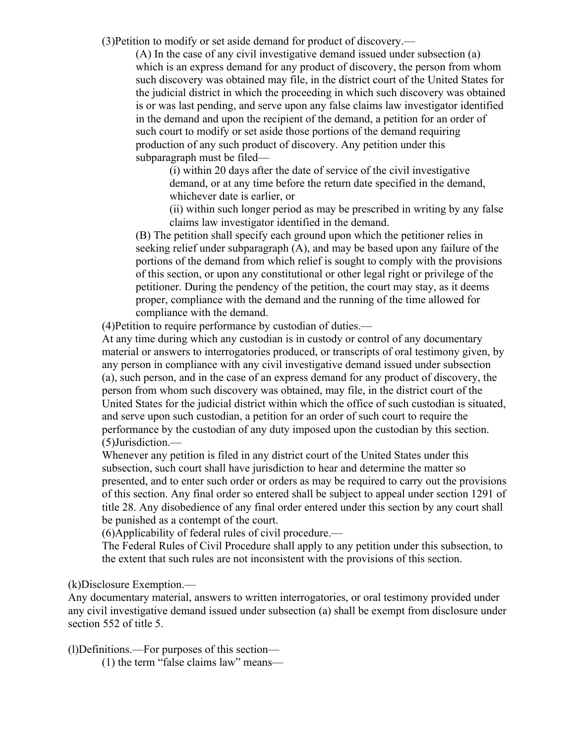(3)Petition to modify or set aside demand for product of discovery.—

(A) In the case of any civil investigative demand issued under subsection (a) which is an express demand for any product of discovery, the person from whom such discovery was obtained may file, in the district court of the United States for the judicial district in which the proceeding in which such discovery was obtained is or was last pending, and serve upon any false claims law investigator identified in the demand and upon the recipient of the demand, a petition for an order of such court to modify or set aside those portions of the demand requiring production of any such product of discovery. Any petition under this subparagraph must be filed—

(i) within 20 days after the date of service of the civil investigative demand, or at any time before the return date specified in the demand, whichever date is earlier, or

(ii) within such longer period as may be prescribed in writing by any false claims law investigator identified in the demand.

(B) The petition shall specify each ground upon which the petitioner relies in seeking relief under subparagraph (A), and may be based upon any failure of the portions of the demand from which relief is sought to comply with the provisions of this section, or upon any constitutional or other legal right or privilege of the petitioner. During the pendency of the petition, the court may stay, as it deems proper, compliance with the demand and the running of the time allowed for compliance with the demand.

(4)Petition to require performance by custodian of duties.—

At any time during which any custodian is in custody or control of any documentary material or answers to interrogatories produced, or transcripts of oral testimony given, by any person in compliance with any civil investigative demand issued under subsection (a), such person, and in the case of an express demand for any product of discovery, the person from whom such discovery was obtained, may file, in the district court of the United States for the judicial district within which the office of such custodian is situated, and serve upon such custodian, a petition for an order of such court to require the performance by the custodian of any duty imposed upon the custodian by this section. (5)Jurisdiction.—

Whenever any petition is filed in any district court of the United States under this subsection, such court shall have jurisdiction to hear and determine the matter so presented, and to enter such order or orders as may be required to carry out the provisions of this section. Any final order so entered shall be subject to appeal under section 1291 of title 28. Any disobedience of any final order entered under this section by any court shall be punished as a contempt of the court.

(6)Applicability of federal rules of civil procedure.—

The Federal Rules of Civil Procedure shall apply to any petition under this subsection, to the extent that such rules are not inconsistent with the provisions of this section.

#### (k)Disclosure Exemption.—

Any documentary material, answers to written interrogatories, or oral testimony provided under any civil investigative demand issued under subsection (a) shall be exempt from disclosure under section 552 of title 5.

(l)Definitions.—For purposes of this section—

(1) the term "false claims law" means—